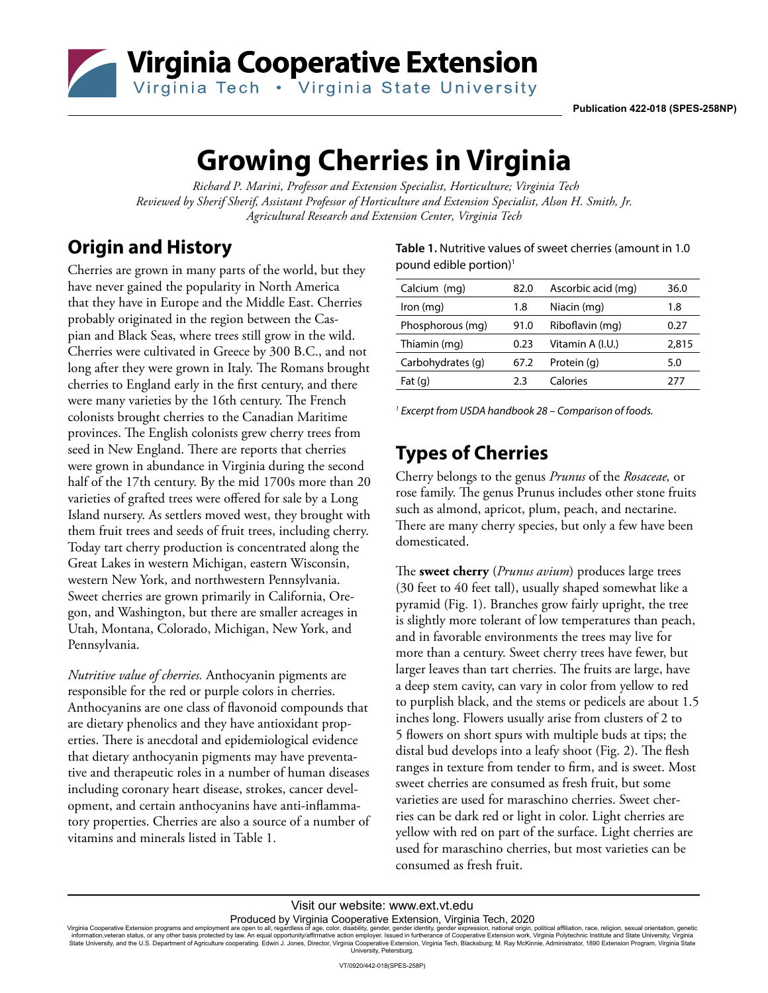

# **Growing Cherries in Virginia**

 *Richard P. Marini, Professor and Extension Specialist, Horticulture; Virginia Tech Reviewed by Sherif Sherif, Assistant Professor of Horticulture and Extension Specialist, Alson H. Smith, Jr. Agricultural Research and Extension Center, Virginia Tech*

## **Origin and History**

Cherries are grown in many parts of the world, but they have never gained the popularity in North America that they have in Europe and the Middle East. Cherries probably originated in the region between the Caspian and Black Seas, where trees still grow in the wild. Cherries were cultivated in Greece by 300 B.C., and not long after they were grown in Italy. The Romans brought cherries to England early in the first century, and there were many varieties by the 16th century. The French colonists brought cherries to the Canadian Maritime provinces. The English colonists grew cherry trees from seed in New England. There are reports that cherries were grown in abundance in Virginia during the second half of the 17th century. By the mid 1700s more than 20 varieties of grafted trees were offered for sale by a Long Island nursery. As settlers moved west, they brought with them fruit trees and seeds of fruit trees, including cherry. Today tart cherry production is concentrated along the Great Lakes in western Michigan, eastern Wisconsin, western New York, and northwestern Pennsylvania. Sweet cherries are grown primarily in California, Oregon, and Washington, but there are smaller acreages in Utah, Montana, Colorado, Michigan, New York, and Pennsylvania.

*Nutritive value of cherries.* Anthocyanin pigments are responsible for the red or purple colors in cherries. Anthocyanins are one class of flavonoid compounds that are dietary phenolics and they have antioxidant properties. There is anecdotal and epidemiological evidence that dietary anthocyanin pigments may have preventative and therapeutic roles in a number of human diseases including coronary heart disease, strokes, cancer development, and certain anthocyanins have anti-inflammatory properties. Cherries are also a source of a number of vitamins and minerals listed in Table 1.

**Table 1.** Nutritive values of sweet cherries (amount in 1.0 pound edible portion)1

| Calcium (mg)      | 82.0 | Ascorbic acid (mg) | 36.0  |
|-------------------|------|--------------------|-------|
| Iron (mg)         | 1.8  | Niacin (mg)        | 1.8   |
| Phosphorous (mg)  | 91.0 | Riboflavin (mg)    | 0.27  |
| Thiamin (mg)      | 0.23 | Vitamin A (I.U.)   | 2,815 |
| Carbohydrates (q) | 67.2 | Protein (g)        | 5.0   |
| Fat $(q)$         | フ3   | Calories           | 277   |

*1 Excerpt from USDA handbook 28 – Comparison of foods.*

#### **Types of Cherries**

Cherry belongs to the genus *Prunus* of the *Rosaceae,* or rose family. The genus Prunus includes other stone fruits such as almond, apricot, plum, peach, and nectarine. There are many cherry species, but only a few have been domesticated.

The **sweet cherry** (*Prunus avium*) produces large trees (30 feet to 40 feet tall), usually shaped somewhat like a pyramid (Fig. 1). Branches grow fairly upright, the tree is slightly more tolerant of low temperatures than peach, and in favorable environments the trees may live for more than a century. Sweet cherry trees have fewer, but larger leaves than tart cherries. The fruits are large, have a deep stem cavity, can vary in color from yellow to red to purplish black, and the stems or pedicels are about 1.5 inches long. Flowers usually arise from clusters of 2 to 5 flowers on short spurs with multiple buds at tips; the distal bud develops into a leafy shoot (Fig. 2). The flesh ranges in texture from tender to firm, and is sweet. Most sweet cherries are consumed as fresh fruit, but some varieties are used for maraschino cherries. Sweet cherries can be dark red or light in color. Light cherries are yellow with red on part of the surface. Light cherries are used for maraschino cherries, but most varieties can be consumed as fresh fruit.

Produced by Virginia Cooperative Extension, Virginia Tech, 2020

Virginia Cooperative Extension programs and employment are open to all, regardless of age, color, disability, gender, gender identity, gender expression, national origin, political affiliation, race, religion, sexual orien University, Petersburg.

Visit our website: www.ext.vt.edu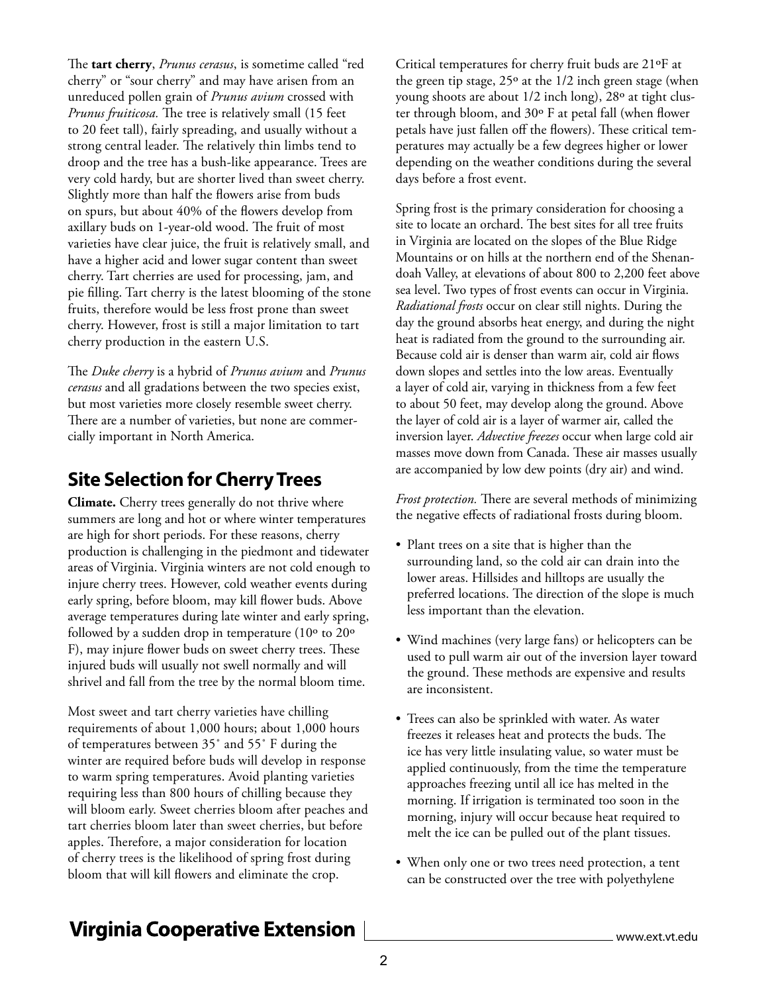The **tart cherry**, *Prunus cerasus*, is sometime called "red cherry" or "sour cherry" and may have arisen from an unreduced pollen grain of *Prunus avium* crossed with *Prunus fruiticosa.* The tree is relatively small (15 feet to 20 feet tall), fairly spreading, and usually without a strong central leader. The relatively thin limbs tend to droop and the tree has a bush-like appearance. Trees are very cold hardy, but are shorter lived than sweet cherry. Slightly more than half the flowers arise from buds on spurs, but about 40% of the flowers develop from axillary buds on 1-year-old wood. The fruit of most varieties have clear juice, the fruit is relatively small, and have a higher acid and lower sugar content than sweet cherry. Tart cherries are used for processing, jam, and pie filling. Tart cherry is the latest blooming of the stone fruits, therefore would be less frost prone than sweet cherry. However, frost is still a major limitation to tart cherry production in the eastern U.S.

The *Duke cherry* is a hybrid of *Prunus avium* and *Prunus cerasus* and all gradations between the two species exist, but most varieties more closely resemble sweet cherry. There are a number of varieties, but none are commercially important in North America.

#### **Site Selection for Cherry Trees**

**Climate.** Cherry trees generally do not thrive where summers are long and hot or where winter temperatures are high for short periods. For these reasons, cherry production is challenging in the piedmont and tidewater areas of Virginia. Virginia winters are not cold enough to injure cherry trees. However, cold weather events during early spring, before bloom, may kill flower buds. Above average temperatures during late winter and early spring, followed by a sudden drop in temperature (10º to 20º F), may injure flower buds on sweet cherry trees. These injured buds will usually not swell normally and will shrivel and fall from the tree by the normal bloom time.

Most sweet and tart cherry varieties have chilling requirements of about 1,000 hours; about 1,000 hours of temperatures between 35˚ and 55˚ F during the winter are required before buds will develop in response to warm spring temperatures. Avoid planting varieties requiring less than 800 hours of chilling because they will bloom early. Sweet cherries bloom after peaches and tart cherries bloom later than sweet cherries, but before apples. Therefore, a major consideration for location of cherry trees is the likelihood of spring frost during bloom that will kill flowers and eliminate the crop.

Critical temperatures for cherry fruit buds are 21ºF at the green tip stage,  $25^{\circ}$  at the  $1/2$  inch green stage (when young shoots are about 1/2 inch long), 28º at tight cluster through bloom, and 30º F at petal fall (when flower petals have just fallen off the flowers). These critical temperatures may actually be a few degrees higher or lower depending on the weather conditions during the several days before a frost event.

Spring frost is the primary consideration for choosing a site to locate an orchard. The best sites for all tree fruits in Virginia are located on the slopes of the Blue Ridge Mountains or on hills at the northern end of the Shenandoah Valley, at elevations of about 800 to 2,200 feet above sea level. Two types of frost events can occur in Virginia. *Radiational frosts* occur on clear still nights. During the day the ground absorbs heat energy, and during the night heat is radiated from the ground to the surrounding air. Because cold air is denser than warm air, cold air flows down slopes and settles into the low areas. Eventually a layer of cold air, varying in thickness from a few feet to about 50 feet, may develop along the ground. Above the layer of cold air is a layer of warmer air, called the inversion layer. *Advective freezes* occur when large cold air masses move down from Canada. These air masses usually are accompanied by low dew points (dry air) and wind.

*Frost protection.* There are several methods of minimizing the negative effects of radiational frosts during bloom.

- Plant trees on a site that is higher than the surrounding land, so the cold air can drain into the lower areas. Hillsides and hilltops are usually the preferred locations. The direction of the slope is much less important than the elevation.
- Wind machines (very large fans) or helicopters can be used to pull warm air out of the inversion layer toward the ground. These methods are expensive and results are inconsistent.
- Trees can also be sprinkled with water. As water freezes it releases heat and protects the buds. The ice has very little insulating value, so water must be applied continuously, from the time the temperature approaches freezing until all ice has melted in the morning. If irrigation is terminated too soon in the morning, injury will occur because heat required to melt the ice can be pulled out of the plant tissues.
- When only one or two trees need protection, a tent can be constructed over the tree with polyethylene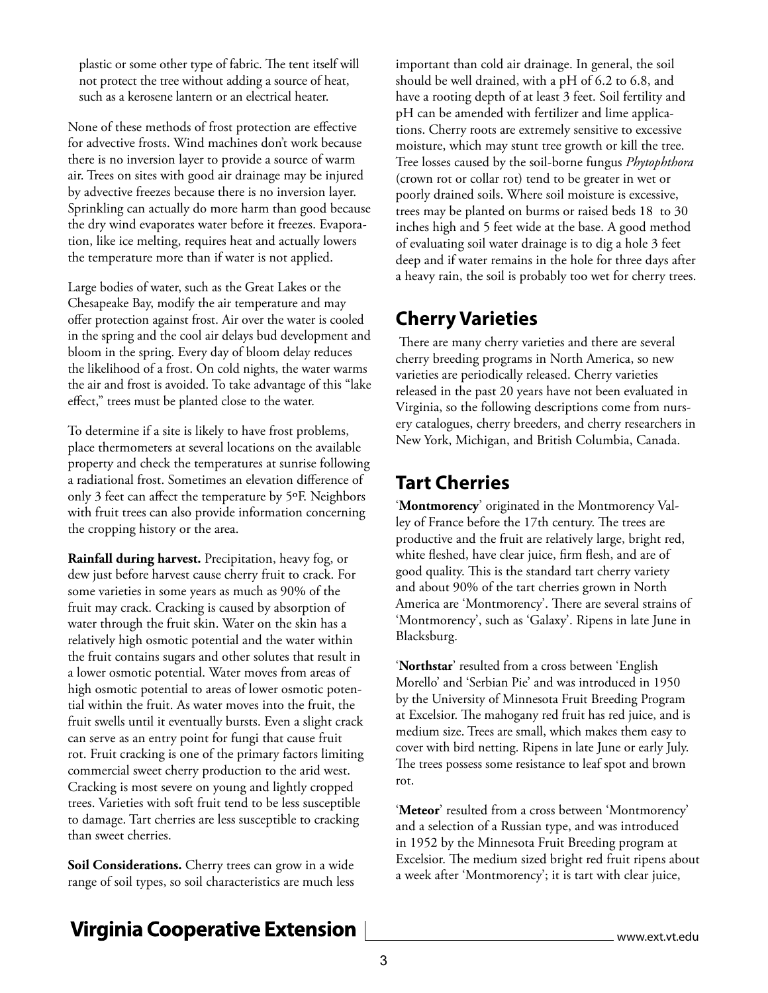plastic or some other type of fabric. The tent itself will not protect the tree without adding a source of heat, such as a kerosene lantern or an electrical heater.

None of these methods of frost protection are effective for advective frosts. Wind machines don't work because there is no inversion layer to provide a source of warm air. Trees on sites with good air drainage may be injured by advective freezes because there is no inversion layer. Sprinkling can actually do more harm than good because the dry wind evaporates water before it freezes. Evaporation, like ice melting, requires heat and actually lowers the temperature more than if water is not applied.

Large bodies of water, such as the Great Lakes or the Chesapeake Bay, modify the air temperature and may offer protection against frost. Air over the water is cooled in the spring and the cool air delays bud development and bloom in the spring. Every day of bloom delay reduces the likelihood of a frost. On cold nights, the water warms the air and frost is avoided. To take advantage of this "lake effect," trees must be planted close to the water.

To determine if a site is likely to have frost problems, place thermometers at several locations on the available property and check the temperatures at sunrise following a radiational frost. Sometimes an elevation difference of only 3 feet can affect the temperature by 5ºF. Neighbors with fruit trees can also provide information concerning the cropping history or the area.

**Rainfall during harvest.** Precipitation, heavy fog, or dew just before harvest cause cherry fruit to crack. For some varieties in some years as much as 90% of the fruit may crack. Cracking is caused by absorption of water through the fruit skin. Water on the skin has a relatively high osmotic potential and the water within the fruit contains sugars and other solutes that result in a lower osmotic potential. Water moves from areas of high osmotic potential to areas of lower osmotic potential within the fruit. As water moves into the fruit, the fruit swells until it eventually bursts. Even a slight crack can serve as an entry point for fungi that cause fruit rot. Fruit cracking is one of the primary factors limiting commercial sweet cherry production to the arid west. Cracking is most severe on young and lightly cropped trees. Varieties with soft fruit tend to be less susceptible to damage. Tart cherries are less susceptible to cracking than sweet cherries.

**Soil Considerations.** Cherry trees can grow in a wide range of soil types, so soil characteristics are much less important than cold air drainage. In general, the soil should be well drained, with a pH of 6.2 to 6.8, and have a rooting depth of at least 3 feet. Soil fertility and pH can be amended with fertilizer and lime applications. Cherry roots are extremely sensitive to excessive moisture, which may stunt tree growth or kill the tree. Tree losses caused by the soil-borne fungus *Phytophthora*  (crown rot or collar rot) tend to be greater in wet or poorly drained soils. Where soil moisture is excessive, trees may be planted on burms or raised beds 18 to 30 inches high and 5 feet wide at the base. A good method of evaluating soil water drainage is to dig a hole 3 feet deep and if water remains in the hole for three days after a heavy rain, the soil is probably too wet for cherry trees.

#### **Cherry Varieties**

 There are many cherry varieties and there are several cherry breeding programs in North America, so new varieties are periodically released. Cherry varieties released in the past 20 years have not been evaluated in Virginia, so the following descriptions come from nursery catalogues, cherry breeders, and cherry researchers in New York, Michigan, and British Columbia, Canada.

### **Tart Cherries**

'**Montmorency**' originated in the Montmorency Valley of France before the 17th century. The trees are productive and the fruit are relatively large, bright red, white fleshed, have clear juice, firm flesh, and are of good quality. This is the standard tart cherry variety and about 90% of the tart cherries grown in North America are 'Montmorency'. There are several strains of 'Montmorency', such as 'Galaxy'. Ripens in late June in Blacksburg.

'**Northstar**' resulted from a cross between 'English Morello' and 'Serbian Pie' and was introduced in 1950 by the University of Minnesota Fruit Breeding Program at Excelsior. The mahogany red fruit has red juice, and is medium size. Trees are small, which makes them easy to cover with bird netting. Ripens in late June or early July. The trees possess some resistance to leaf spot and brown rot.

'**Meteor**' resulted from a cross between 'Montmorency' and a selection of a Russian type, and was introduced in 1952 by the Minnesota Fruit Breeding program at Excelsior. The medium sized bright red fruit ripens about a week after 'Montmorency'; it is tart with clear juice,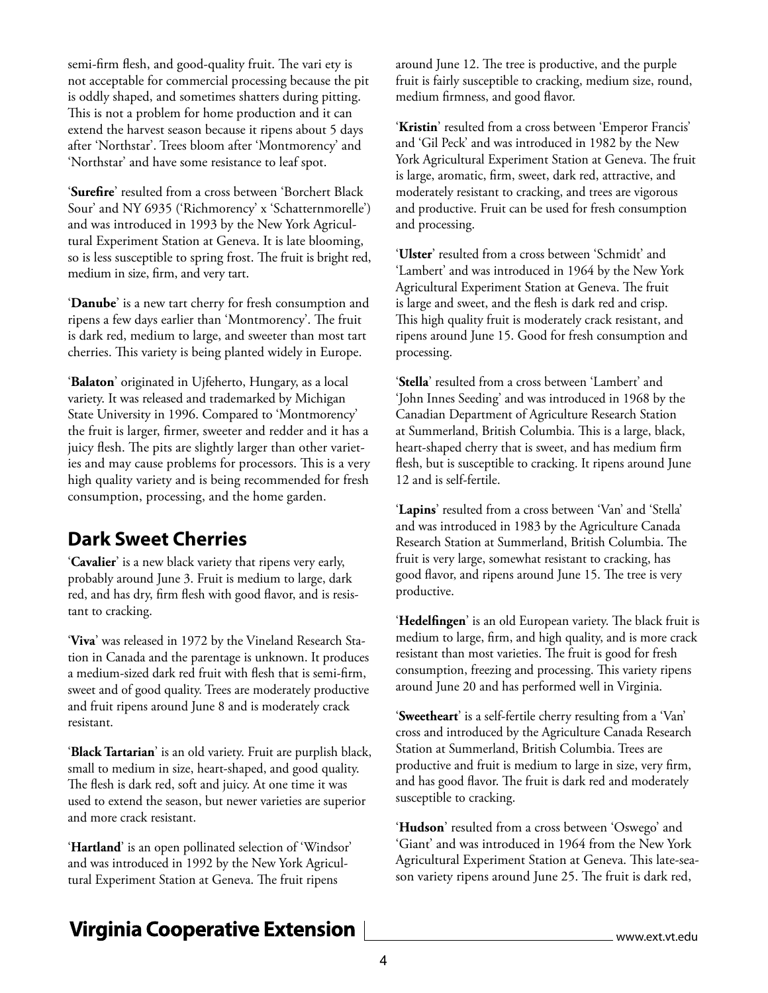semi-firm flesh, and good-quality fruit. The vari ety is not acceptable for commercial processing because the pit is oddly shaped, and sometimes shatters during pitting. This is not a problem for home production and it can extend the harvest season because it ripens about 5 days after 'Northstar'. Trees bloom after 'Montmorency' and 'Northstar' and have some resistance to leaf spot.

'**Surefire**' resulted from a cross between 'Borchert Black Sour' and NY 6935 ('Richmorency' x 'Schatternmorelle') and was introduced in 1993 by the New York Agricultural Experiment Station at Geneva. It is late blooming, so is less susceptible to spring frost. The fruit is bright red, medium in size, firm, and very tart.

'**Danube**' is a new tart cherry for fresh consumption and ripens a few days earlier than 'Montmorency'. The fruit is dark red, medium to large, and sweeter than most tart cherries. This variety is being planted widely in Europe.

'**Balaton**' originated in Ujfeherto, Hungary, as a local variety. It was released and trademarked by Michigan State University in 1996. Compared to 'Montmorency' the fruit is larger, firmer, sweeter and redder and it has a juicy flesh. The pits are slightly larger than other varieties and may cause problems for processors. This is a very high quality variety and is being recommended for fresh consumption, processing, and the home garden.

#### **Dark Sweet Cherries**

'**Cavalier**' is a new black variety that ripens very early, probably around June 3. Fruit is medium to large, dark red, and has dry, firm flesh with good flavor, and is resistant to cracking.

'**Viva**' was released in 1972 by the Vineland Research Station in Canada and the parentage is unknown. It produces a medium-sized dark red fruit with flesh that is semi-firm, sweet and of good quality. Trees are moderately productive and fruit ripens around June 8 and is moderately crack resistant.

'**Black Tartarian**' is an old variety. Fruit are purplish black, small to medium in size, heart-shaped, and good quality. The flesh is dark red, soft and juicy. At one time it was used to extend the season, but newer varieties are superior and more crack resistant.

'**Hartland**' is an open pollinated selection of 'Windsor' and was introduced in 1992 by the New York Agricultural Experiment Station at Geneva. The fruit ripens

around June 12. The tree is productive, and the purple fruit is fairly susceptible to cracking, medium size, round, medium firmness, and good flavor.

'**Kristin**' resulted from a cross between 'Emperor Francis' and 'Gil Peck' and was introduced in 1982 by the New York Agricultural Experiment Station at Geneva. The fruit is large, aromatic, firm, sweet, dark red, attractive, and moderately resistant to cracking, and trees are vigorous and productive. Fruit can be used for fresh consumption and processing.

'**Ulster**' resulted from a cross between 'Schmidt' and 'Lambert' and was introduced in 1964 by the New York Agricultural Experiment Station at Geneva. The fruit is large and sweet, and the flesh is dark red and crisp. This high quality fruit is moderately crack resistant, and ripens around June 15. Good for fresh consumption and processing.

'**Stella**' resulted from a cross between 'Lambert' and 'John Innes Seeding' and was introduced in 1968 by the Canadian Department of Agriculture Research Station at Summerland, British Columbia. This is a large, black, heart-shaped cherry that is sweet, and has medium firm flesh, but is susceptible to cracking. It ripens around June 12 and is self-fertile.

'**Lapins**' resulted from a cross between 'Van' and 'Stella' and was introduced in 1983 by the Agriculture Canada Research Station at Summerland, British Columbia. The fruit is very large, somewhat resistant to cracking, has good flavor, and ripens around June 15. The tree is very productive.

'**Hedelfingen**' is an old European variety. The black fruit is medium to large, firm, and high quality, and is more crack resistant than most varieties. The fruit is good for fresh consumption, freezing and processing. This variety ripens around June 20 and has performed well in Virginia.

'**Sweetheart**' is a self-fertile cherry resulting from a 'Van' cross and introduced by the Agriculture Canada Research Station at Summerland, British Columbia. Trees are productive and fruit is medium to large in size, very firm, and has good flavor. The fruit is dark red and moderately susceptible to cracking.

'**Hudson**' resulted from a cross between 'Oswego' and 'Giant' and was introduced in 1964 from the New York Agricultural Experiment Station at Geneva. This late-season variety ripens around June 25. The fruit is dark red,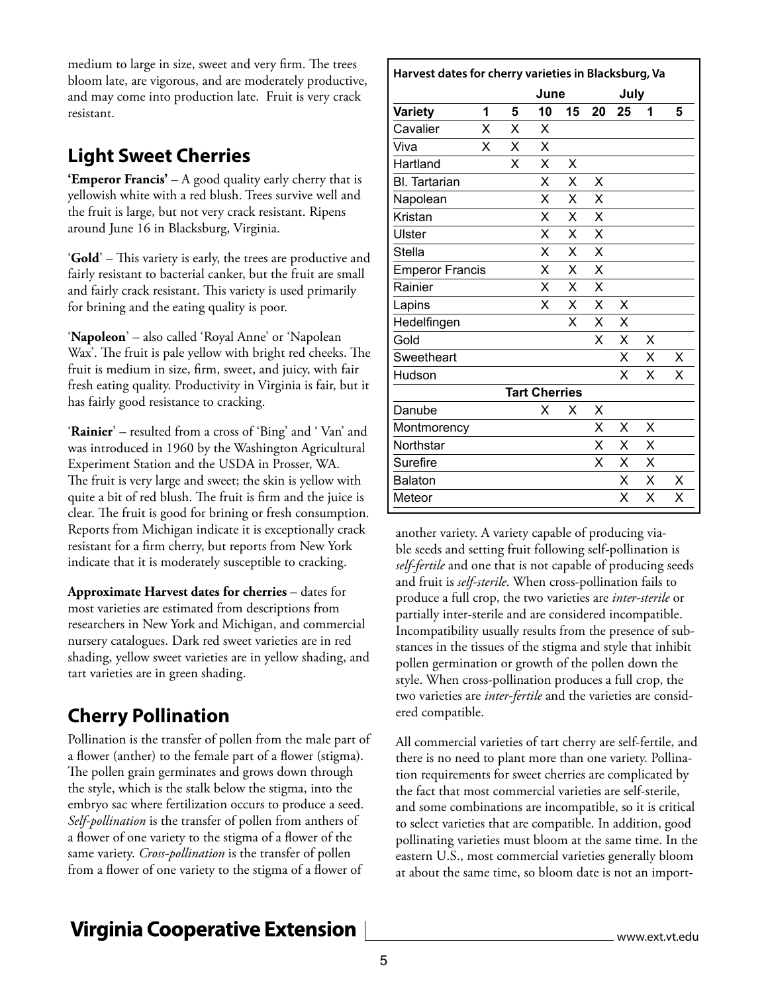medium to large in size, sweet and very firm. The trees bloom late, are vigorous, and are moderately productive, and may come into production late. Fruit is very crack resistant.

## **Light Sweet Cherries**

**'Emperor Francis'** – A good quality early cherry that is yellowish white with a red blush. Trees survive well and the fruit is large, but not very crack resistant. Ripens around June 16 in Blacksburg, Virginia.

'**Gold**' – This variety is early, the trees are productive and fairly resistant to bacterial canker, but the fruit are small and fairly crack resistant. This variety is used primarily for brining and the eating quality is poor.

'**Napoleon**' – also called 'Royal Anne' or 'Napolean Wax'. The fruit is pale yellow with bright red cheeks. The fruit is medium in size, firm, sweet, and juicy, with fair fresh eating quality. Productivity in Virginia is fair, but it has fairly good resistance to cracking.

'**Rainier**' – resulted from a cross of 'Bing' and ' Van' and was introduced in 1960 by the Washington Agricultural Experiment Station and the USDA in Prosser, WA. The fruit is very large and sweet; the skin is yellow with quite a bit of red blush. The fruit is firm and the juice is clear. The fruit is good for brining or fresh consumption. Reports from Michigan indicate it is exceptionally crack resistant for a firm cherry, but reports from New York indicate that it is moderately susceptible to cracking.

**Approximate Harvest dates for cherries** – dates for most varieties are estimated from descriptions from researchers in New York and Michigan, and commercial nursery catalogues. Dark red sweet varieties are in red shading, yellow sweet varieties are in yellow shading, and tart varieties are in green shading.

## **Cherry Pollination**

Pollination is the transfer of pollen from the male part of a flower (anther) to the female part of a flower (stigma). The pollen grain germinates and grows down through the style, which is the stalk below the stigma, into the embryo sac where fertilization occurs to produce a seed. *Self-pollination* is the transfer of pollen from anthers of a flower of one variety to the stigma of a flower of the same variety. *Cross-pollination* is the transfer of pollen from a flower of one variety to the stigma of a flower of

| Harvest dates for cherry varieties in Blacksburg, Va |   |   |      |    |    |      |   |   |  |  |  |  |
|------------------------------------------------------|---|---|------|----|----|------|---|---|--|--|--|--|
|                                                      |   |   | June |    |    | July |   |   |  |  |  |  |
| <b>Variety</b>                                       | 1 | 5 | 10   | 15 | 20 | 25   | 1 | 5 |  |  |  |  |
| Cavalier                                             | X | X | X    |    |    |      |   |   |  |  |  |  |
| Viva                                                 | X | X | X    |    |    |      |   |   |  |  |  |  |
| Hartland                                             |   | X | X    | X  |    |      |   |   |  |  |  |  |
| <b>BI.</b> Tartarian                                 |   |   | X    | X  | X  |      |   |   |  |  |  |  |
| Napolean                                             |   |   | X    | X  | X  |      |   |   |  |  |  |  |
| Kristan                                              |   |   | X    | X  | X  |      |   |   |  |  |  |  |
| Ulster                                               |   |   | X    | X  | X  |      |   |   |  |  |  |  |
| <b>Stella</b>                                        |   |   | X    | X  | X  |      |   |   |  |  |  |  |
| <b>Emperor Francis</b>                               |   |   | X    | X  | X  |      |   |   |  |  |  |  |
| Rainier                                              |   |   | x    | X  | X  |      |   |   |  |  |  |  |
| Lapins                                               |   |   | x    | X  | X  | X    |   |   |  |  |  |  |
| Hedelfingen                                          |   |   |      | Χ  | X  | X    |   |   |  |  |  |  |
| Gold                                                 |   |   |      |    | x  | X    | X |   |  |  |  |  |
| Sweetheart                                           |   |   |      |    |    | x    | X | X |  |  |  |  |
| Hudson                                               |   |   |      |    |    | x    | X | X |  |  |  |  |
| <b>Tart Cherries</b>                                 |   |   |      |    |    |      |   |   |  |  |  |  |
| Danube                                               |   |   | x    | X  | X  |      |   |   |  |  |  |  |
| Montmorency                                          |   |   |      |    | X  | X    | X |   |  |  |  |  |
| Northstar                                            |   |   |      |    | X  | X    | X |   |  |  |  |  |
| Surefire                                             |   |   |      |    | x  | X    | X |   |  |  |  |  |
| <b>Balaton</b>                                       |   |   |      |    |    | X    | X | X |  |  |  |  |
| Meteor                                               |   |   |      |    |    | x    | X | Χ |  |  |  |  |

another variety. A variety capable of producing viable seeds and setting fruit following self-pollination is *self-fertile* and one that is not capable of producing seeds and fruit is *self-sterile*. When cross-pollination fails to produce a full crop, the two varieties are *inter-sterile* or partially inter-sterile and are considered incompatible. Incompatibility usually results from the presence of substances in the tissues of the stigma and style that inhibit pollen germination or growth of the pollen down the style. When cross-pollination produces a full crop, the two varieties are *inter-fertile* and the varieties are considered compatible.

All commercial varieties of tart cherry are self-fertile, and there is no need to plant more than one variety. Pollination requirements for sweet cherries are complicated by the fact that most commercial varieties are self-sterile, and some combinations are incompatible, so it is critical to select varieties that are compatible. In addition, good pollinating varieties must bloom at the same time. In the eastern U.S., most commercial varieties generally bloom at about the same time, so bloom date is not an import-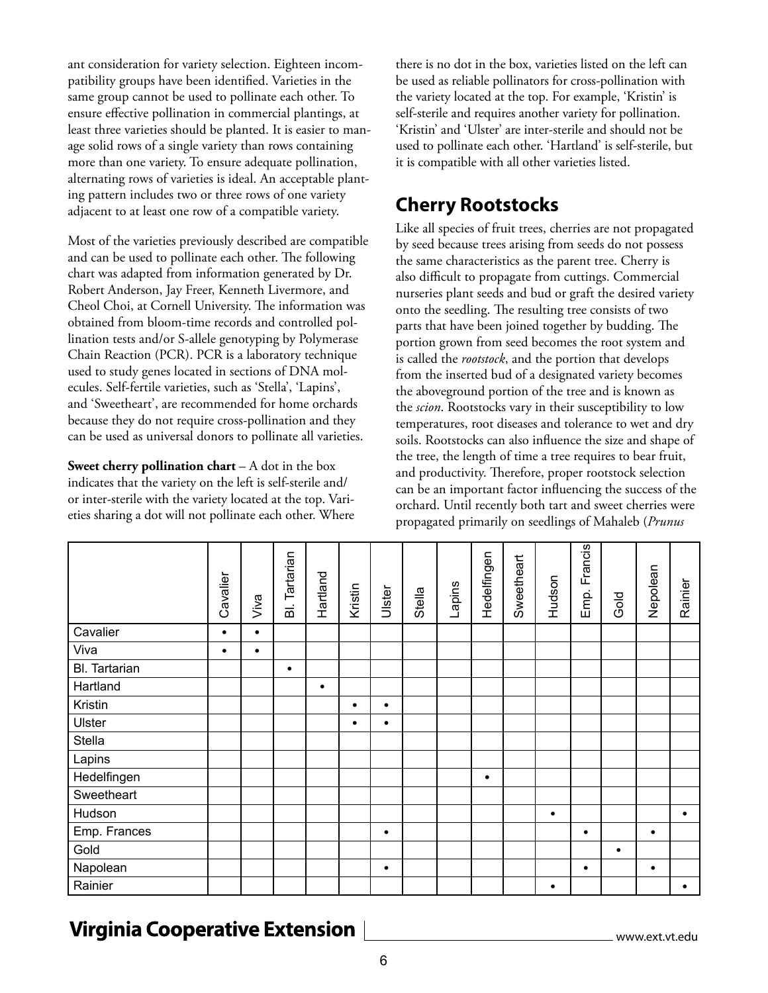ant consideration for variety selection. Eighteen incompatibility groups have been identified. Varieties in the same group cannot be used to pollinate each other. To ensure effective pollination in commercial plantings, at least three varieties should be planted. It is easier to manage solid rows of a single variety than rows containing more than one variety. To ensure adequate pollination, alternating rows of varieties is ideal. An acceptable planting pattern includes two or three rows of one variety adjacent to at least one row of a compatible variety.

Most of the varieties previously described are compatible and can be used to pollinate each other. The following chart was adapted from information generated by Dr. Robert Anderson, Jay Freer, Kenneth Livermore, and Cheol Choi, at Cornell University. The information was obtained from bloom-time records and controlled pollination tests and/or S-allele genotyping by Polymerase Chain Reaction (PCR). PCR is a laboratory technique used to study genes located in sections of DNA molecules. Self-fertile varieties, such as 'Stella', 'Lapins', and 'Sweetheart', are recommended for home orchards because they do not require cross-pollination and they can be used as universal donors to pollinate all varieties.

**Sweet cherry pollination chart** – A dot in the box indicates that the variety on the left is self-sterile and/ or inter-sterile with the variety located at the top. Varieties sharing a dot will not pollinate each other. Where there is no dot in the box, varieties listed on the left can be used as reliable pollinators for cross-pollination with the variety located at the top. For example, 'Kristin' is self-sterile and requires another variety for pollination. 'Kristin' and 'Ulster' are inter-sterile and should not be used to pollinate each other. 'Hartland' is self-sterile, but it is compatible with all other varieties listed.

#### **Cherry Rootstocks**

Like all species of fruit trees, cherries are not propagated by seed because trees arising from seeds do not possess the same characteristics as the parent tree. Cherry is also difficult to propagate from cuttings. Commercial nurseries plant seeds and bud or graft the desired variety onto the seedling. The resulting tree consists of two parts that have been joined together by budding. The portion grown from seed becomes the root system and is called the *rootstock*, and the portion that develops from the inserted bud of a designated variety becomes the aboveground portion of the tree and is known as the *scion*. Rootstocks vary in their susceptibility to low temperatures, root diseases and tolerance to wet and dry soils. Rootstocks can also influence the size and shape of the tree, the length of time a tree requires to bear fruit, and productivity. Therefore, proper rootstock selection can be an important factor influencing the success of the orchard. Until recently both tart and sweet cherries were propagated primarily on seedlings of Mahaleb (*Prunus* 

|               | Cavalier  | Viva      | <b>BI.</b> Tartarian | Hartland  | Kristin   | Ulster    | Stella | Lapins | Hedelfingen | Sweetheart | Hudson    | Francis<br>Emp. | Gold      | Nepolean  | Rainier   |
|---------------|-----------|-----------|----------------------|-----------|-----------|-----------|--------|--------|-------------|------------|-----------|-----------------|-----------|-----------|-----------|
| Cavalier      | $\bullet$ | $\bullet$ |                      |           |           |           |        |        |             |            |           |                 |           |           |           |
| Viva          | $\bullet$ | $\bullet$ |                      |           |           |           |        |        |             |            |           |                 |           |           |           |
| Bl. Tartarian |           |           | $\bullet$            |           |           |           |        |        |             |            |           |                 |           |           |           |
| Hartland      |           |           |                      | $\bullet$ |           |           |        |        |             |            |           |                 |           |           |           |
| Kristin       |           |           |                      |           | ٠         | $\bullet$ |        |        |             |            |           |                 |           |           |           |
| Ulster        |           |           |                      |           | $\bullet$ | $\bullet$ |        |        |             |            |           |                 |           |           |           |
| Stella        |           |           |                      |           |           |           |        |        |             |            |           |                 |           |           |           |
| Lapins        |           |           |                      |           |           |           |        |        |             |            |           |                 |           |           |           |
| Hedelfingen   |           |           |                      |           |           |           |        |        | $\bullet$   |            |           |                 |           |           |           |
| Sweetheart    |           |           |                      |           |           |           |        |        |             |            |           |                 |           |           |           |
| Hudson        |           |           |                      |           |           |           |        |        |             |            | $\bullet$ |                 |           |           | $\bullet$ |
| Emp. Frances  |           |           |                      |           |           | $\bullet$ |        |        |             |            |           | $\bullet$       |           | $\bullet$ |           |
| Gold          |           |           |                      |           |           |           |        |        |             |            |           |                 | $\bullet$ |           |           |
| Napolean      |           |           |                      |           |           | $\bullet$ |        |        |             |            |           | $\bullet$       |           | $\bullet$ |           |
| Rainier       |           |           |                      |           |           |           |        |        |             |            | $\bullet$ |                 |           |           | ٠         |

## **Virginia Cooperative Extension**

www.ext.vt.edu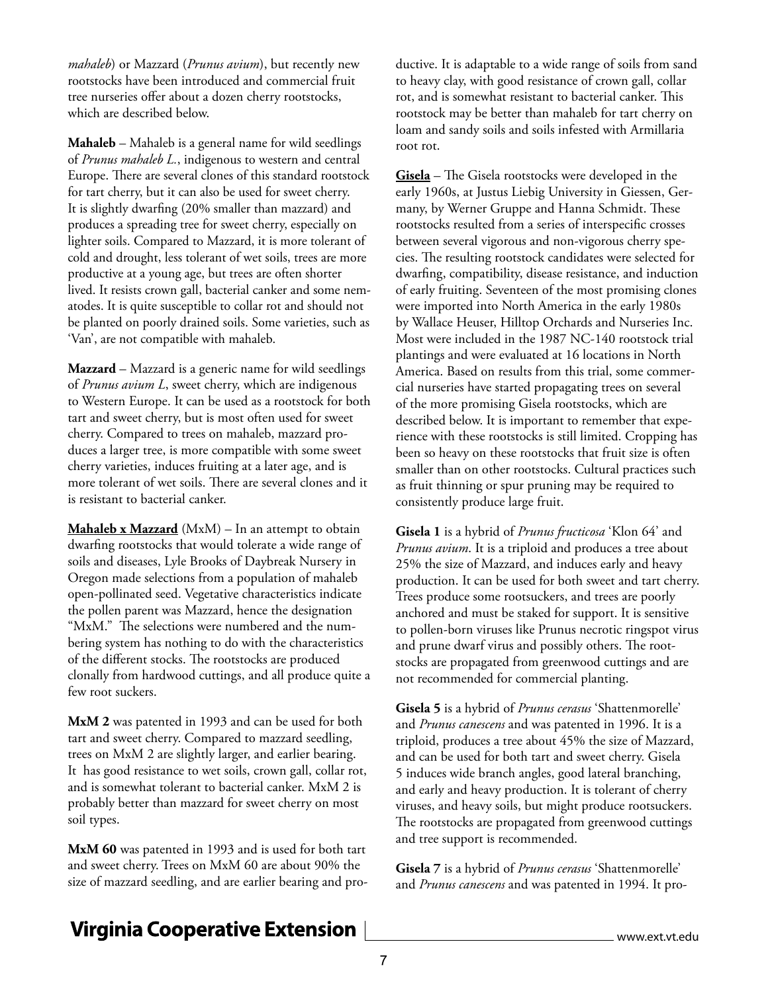*mahaleb*) or Mazzard (*Prunus avium*), but recently new rootstocks have been introduced and commercial fruit tree nurseries offer about a dozen cherry rootstocks, which are described below.

**Mahaleb** – Mahaleb is a general name for wild seedlings of *Prunus mahaleb L.*, indigenous to western and central Europe. There are several clones of this standard rootstock for tart cherry, but it can also be used for sweet cherry. It is slightly dwarfing (20% smaller than mazzard) and produces a spreading tree for sweet cherry, especially on lighter soils. Compared to Mazzard, it is more tolerant of cold and drought, less tolerant of wet soils, trees are more productive at a young age, but trees are often shorter lived. It resists crown gall, bacterial canker and some nematodes. It is quite susceptible to collar rot and should not be planted on poorly drained soils. Some varieties, such as 'Van', are not compatible with mahaleb.

**Mazzard** – Mazzard is a generic name for wild seedlings of *Prunus avium L*, sweet cherry, which are indigenous to Western Europe. It can be used as a rootstock for both tart and sweet cherry, but is most often used for sweet cherry. Compared to trees on mahaleb, mazzard produces a larger tree, is more compatible with some sweet cherry varieties, induces fruiting at a later age, and is more tolerant of wet soils. There are several clones and it is resistant to bacterial canker.

**Mahaleb x Mazzard** (MxM) – In an attempt to obtain dwarfing rootstocks that would tolerate a wide range of soils and diseases, Lyle Brooks of Daybreak Nursery in Oregon made selections from a population of mahaleb open-pollinated seed. Vegetative characteristics indicate the pollen parent was Mazzard, hence the designation "MxM." The selections were numbered and the numbering system has nothing to do with the characteristics of the different stocks. The rootstocks are produced clonally from hardwood cuttings, and all produce quite a few root suckers.

**MxM 2** was patented in 1993 and can be used for both tart and sweet cherry. Compared to mazzard seedling, trees on MxM 2 are slightly larger, and earlier bearing. It has good resistance to wet soils, crown gall, collar rot, and is somewhat tolerant to bacterial canker. MxM 2 is probably better than mazzard for sweet cherry on most soil types.

**MxM 60** was patented in 1993 and is used for both tart and sweet cherry. Trees on MxM 60 are about 90% the size of mazzard seedling, and are earlier bearing and productive. It is adaptable to a wide range of soils from sand to heavy clay, with good resistance of crown gall, collar rot, and is somewhat resistant to bacterial canker. This rootstock may be better than mahaleb for tart cherry on loam and sandy soils and soils infested with Armillaria root rot.

**Gisela** – The Gisela rootstocks were developed in the early 1960s, at Justus Liebig University in Giessen, Germany, by Werner Gruppe and Hanna Schmidt. These rootstocks resulted from a series of interspecific crosses between several vigorous and non-vigorous cherry species. The resulting rootstock candidates were selected for dwarfing, compatibility, disease resistance, and induction of early fruiting. Seventeen of the most promising clones were imported into North America in the early 1980s by Wallace Heuser, Hilltop Orchards and Nurseries Inc. Most were included in the 1987 NC-140 rootstock trial plantings and were evaluated at 16 locations in North America. Based on results from this trial, some commercial nurseries have started propagating trees on several of the more promising Gisela rootstocks, which are described below. It is important to remember that experience with these rootstocks is still limited. Cropping has been so heavy on these rootstocks that fruit size is often smaller than on other rootstocks. Cultural practices such as fruit thinning or spur pruning may be required to consistently produce large fruit.

**Gisela 1** is a hybrid of *Prunus fructicosa* 'Klon 64' and *Prunus avium*. It is a triploid and produces a tree about 25% the size of Mazzard, and induces early and heavy production. It can be used for both sweet and tart cherry. Trees produce some rootsuckers, and trees are poorly anchored and must be staked for support. It is sensitive to pollen-born viruses like Prunus necrotic ringspot virus and prune dwarf virus and possibly others. The rootstocks are propagated from greenwood cuttings and are not recommended for commercial planting.

**Gisela 5** is a hybrid of *Prunus cerasus* 'Shattenmorelle' and *Prunus canescens* and was patented in 1996. It is a triploid, produces a tree about 45% the size of Mazzard, and can be used for both tart and sweet cherry. Gisela 5 induces wide branch angles, good lateral branching, and early and heavy production. It is tolerant of cherry viruses, and heavy soils, but might produce rootsuckers. The rootstocks are propagated from greenwood cuttings and tree support is recommended.

**Gisela 7** is a hybrid of *Prunus cerasus* 'Shattenmorelle' and *Prunus canescens* and was patented in 1994. It pro-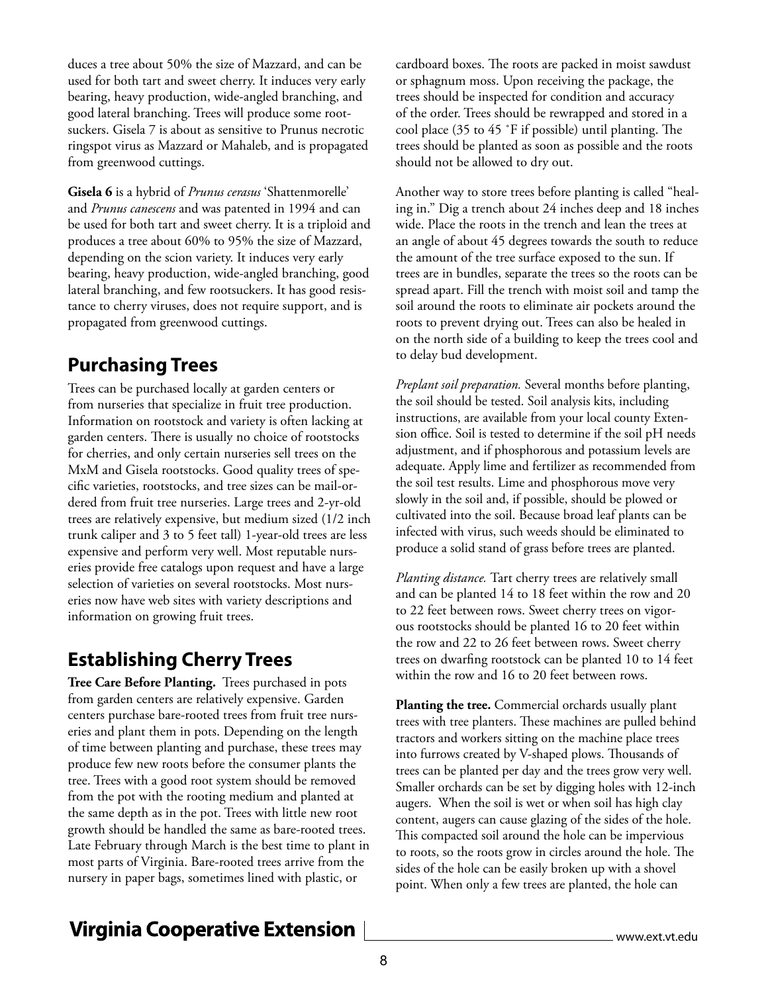duces a tree about 50% the size of Mazzard, and can be used for both tart and sweet cherry. It induces very early bearing, heavy production, wide-angled branching, and good lateral branching. Trees will produce some rootsuckers. Gisela 7 is about as sensitive to Prunus necrotic ringspot virus as Mazzard or Mahaleb, and is propagated from greenwood cuttings.

**Gisela 6** is a hybrid of *Prunus cerasus* 'Shattenmorelle' and *Prunus canescens* and was patented in 1994 and can be used for both tart and sweet cherry. It is a triploid and produces a tree about 60% to 95% the size of Mazzard, depending on the scion variety. It induces very early bearing, heavy production, wide-angled branching, good lateral branching, and few rootsuckers. It has good resistance to cherry viruses, does not require support, and is propagated from greenwood cuttings.

#### **Purchasing Trees**

Trees can be purchased locally at garden centers or from nurseries that specialize in fruit tree production. Information on rootstock and variety is often lacking at garden centers. There is usually no choice of rootstocks for cherries, and only certain nurseries sell trees on the MxM and Gisela rootstocks. Good quality trees of specific varieties, rootstocks, and tree sizes can be mail-ordered from fruit tree nurseries. Large trees and 2-yr-old trees are relatively expensive, but medium sized (1/2 inch trunk caliper and 3 to 5 feet tall) 1-year-old trees are less expensive and perform very well. Most reputable nurseries provide free catalogs upon request and have a large selection of varieties on several rootstocks. Most nurseries now have web sites with variety descriptions and information on growing fruit trees.

## **Establishing Cherry Trees**

**Tree Care Before Planting.** Trees purchased in pots from garden centers are relatively expensive. Garden centers purchase bare-rooted trees from fruit tree nurseries and plant them in pots. Depending on the length of time between planting and purchase, these trees may produce few new roots before the consumer plants the tree. Trees with a good root system should be removed from the pot with the rooting medium and planted at the same depth as in the pot. Trees with little new root growth should be handled the same as bare-rooted trees. Late February through March is the best time to plant in most parts of Virginia. Bare-rooted trees arrive from the nursery in paper bags, sometimes lined with plastic, or

cardboard boxes. The roots are packed in moist sawdust or sphagnum moss. Upon receiving the package, the trees should be inspected for condition and accuracy of the order. Trees should be rewrapped and stored in a cool place (35 to 45 ˚F if possible) until planting. The trees should be planted as soon as possible and the roots should not be allowed to dry out.

Another way to store trees before planting is called "healing in." Dig a trench about 24 inches deep and 18 inches wide. Place the roots in the trench and lean the trees at an angle of about 45 degrees towards the south to reduce the amount of the tree surface exposed to the sun. If trees are in bundles, separate the trees so the roots can be spread apart. Fill the trench with moist soil and tamp the soil around the roots to eliminate air pockets around the roots to prevent drying out. Trees can also be healed in on the north side of a building to keep the trees cool and to delay bud development.

*Preplant soil preparation.* Several months before planting, the soil should be tested. Soil analysis kits, including instructions, are available from your local county Extension office. Soil is tested to determine if the soil pH needs adjustment, and if phosphorous and potassium levels are adequate. Apply lime and fertilizer as recommended from the soil test results. Lime and phosphorous move very slowly in the soil and, if possible, should be plowed or cultivated into the soil. Because broad leaf plants can be infected with virus, such weeds should be eliminated to produce a solid stand of grass before trees are planted.

*Planting distance.* Tart cherry trees are relatively small and can be planted 14 to 18 feet within the row and 20 to 22 feet between rows. Sweet cherry trees on vigorous rootstocks should be planted 16 to 20 feet within the row and 22 to 26 feet between rows. Sweet cherry trees on dwarfing rootstock can be planted 10 to 14 feet within the row and 16 to 20 feet between rows.

**Planting the tree.** Commercial orchards usually plant trees with tree planters. These machines are pulled behind tractors and workers sitting on the machine place trees into furrows created by V-shaped plows. Thousands of trees can be planted per day and the trees grow very well. Smaller orchards can be set by digging holes with 12-inch augers. When the soil is wet or when soil has high clay content, augers can cause glazing of the sides of the hole. This compacted soil around the hole can be impervious to roots, so the roots grow in circles around the hole. The sides of the hole can be easily broken up with a shovel point. When only a few trees are planted, the hole can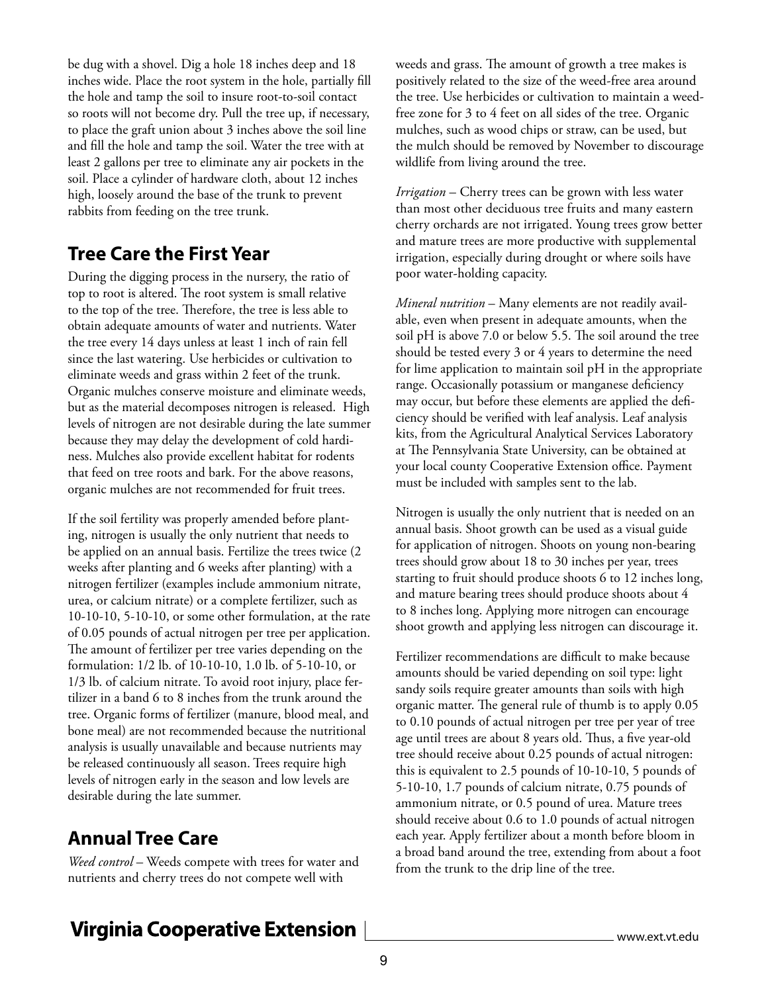be dug with a shovel. Dig a hole 18 inches deep and 18 inches wide. Place the root system in the hole, partially fill the hole and tamp the soil to insure root-to-soil contact so roots will not become dry. Pull the tree up, if necessary, to place the graft union about 3 inches above the soil line and fill the hole and tamp the soil. Water the tree with at least 2 gallons per tree to eliminate any air pockets in the soil. Place a cylinder of hardware cloth, about 12 inches high, loosely around the base of the trunk to prevent rabbits from feeding on the tree trunk.

#### **Tree Care the First Year**

During the digging process in the nursery, the ratio of top to root is altered. The root system is small relative to the top of the tree. Therefore, the tree is less able to obtain adequate amounts of water and nutrients. Water the tree every 14 days unless at least 1 inch of rain fell since the last watering. Use herbicides or cultivation to eliminate weeds and grass within 2 feet of the trunk. Organic mulches conserve moisture and eliminate weeds, but as the material decomposes nitrogen is released. High levels of nitrogen are not desirable during the late summer because they may delay the development of cold hardiness. Mulches also provide excellent habitat for rodents that feed on tree roots and bark. For the above reasons, organic mulches are not recommended for fruit trees.

If the soil fertility was properly amended before planting, nitrogen is usually the only nutrient that needs to be applied on an annual basis. Fertilize the trees twice (2 weeks after planting and 6 weeks after planting) with a nitrogen fertilizer (examples include ammonium nitrate, urea, or calcium nitrate) or a complete fertilizer, such as 10-10-10, 5-10-10, or some other formulation, at the rate of 0.05 pounds of actual nitrogen per tree per application. The amount of fertilizer per tree varies depending on the formulation: 1/2 lb. of 10-10-10, 1.0 lb. of 5-10-10, or 1/3 lb. of calcium nitrate. To avoid root injury, place fertilizer in a band 6 to 8 inches from the trunk around the tree. Organic forms of fertilizer (manure, blood meal, and bone meal) are not recommended because the nutritional analysis is usually unavailable and because nutrients may be released continuously all season. Trees require high levels of nitrogen early in the season and low levels are desirable during the late summer.

## **Annual Tree Care**

*Weed control* – Weeds compete with trees for water and nutrients and cherry trees do not compete well with

weeds and grass. The amount of growth a tree makes is positively related to the size of the weed-free area around the tree. Use herbicides or cultivation to maintain a weedfree zone for 3 to 4 feet on all sides of the tree. Organic mulches, such as wood chips or straw, can be used, but the mulch should be removed by November to discourage wildlife from living around the tree.

*Irrigation* – Cherry trees can be grown with less water than most other deciduous tree fruits and many eastern cherry orchards are not irrigated. Young trees grow better and mature trees are more productive with supplemental irrigation, especially during drought or where soils have poor water-holding capacity.

*Mineral nutrition* – Many elements are not readily available, even when present in adequate amounts, when the soil pH is above 7.0 or below 5.5. The soil around the tree should be tested every 3 or 4 years to determine the need for lime application to maintain soil pH in the appropriate range. Occasionally potassium or manganese deficiency may occur, but before these elements are applied the deficiency should be verified with leaf analysis. Leaf analysis kits, from the Agricultural Analytical Services Laboratory at The Pennsylvania State University, can be obtained at your local county Cooperative Extension office. Payment must be included with samples sent to the lab.

Nitrogen is usually the only nutrient that is needed on an annual basis. Shoot growth can be used as a visual guide for application of nitrogen. Shoots on young non-bearing trees should grow about 18 to 30 inches per year, trees starting to fruit should produce shoots 6 to 12 inches long, and mature bearing trees should produce shoots about 4 to 8 inches long. Applying more nitrogen can encourage shoot growth and applying less nitrogen can discourage it.

Fertilizer recommendations are difficult to make because amounts should be varied depending on soil type: light sandy soils require greater amounts than soils with high organic matter. The general rule of thumb is to apply 0.05 to 0.10 pounds of actual nitrogen per tree per year of tree age until trees are about 8 years old. Thus, a five year-old tree should receive about 0.25 pounds of actual nitrogen: this is equivalent to 2.5 pounds of 10-10-10, 5 pounds of 5-10-10, 1.7 pounds of calcium nitrate, 0.75 pounds of ammonium nitrate, or 0.5 pound of urea. Mature trees should receive about 0.6 to 1.0 pounds of actual nitrogen each year. Apply fertilizer about a month before bloom in a broad band around the tree, extending from about a foot from the trunk to the drip line of the tree.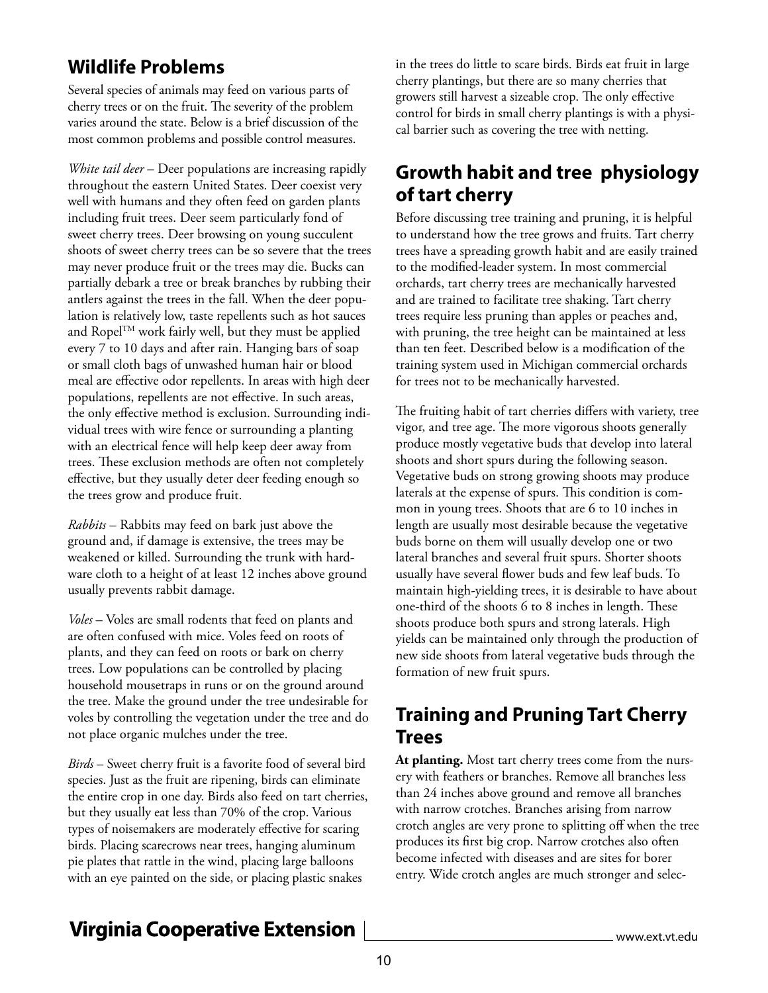### **Wildlife Problems**

Several species of animals may feed on various parts of cherry trees or on the fruit. The severity of the problem varies around the state. Below is a brief discussion of the most common problems and possible control measures.

*White tail deer* – Deer populations are increasing rapidly throughout the eastern United States. Deer coexist very well with humans and they often feed on garden plants including fruit trees. Deer seem particularly fond of sweet cherry trees. Deer browsing on young succulent shoots of sweet cherry trees can be so severe that the trees may never produce fruit or the trees may die. Bucks can partially debark a tree or break branches by rubbing their antlers against the trees in the fall. When the deer population is relatively low, taste repellents such as hot sauces and RopelTM work fairly well, but they must be applied every 7 to 10 days and after rain. Hanging bars of soap or small cloth bags of unwashed human hair or blood meal are effective odor repellents. In areas with high deer populations, repellents are not effective. In such areas, the only effective method is exclusion. Surrounding individual trees with wire fence or surrounding a planting with an electrical fence will help keep deer away from trees. These exclusion methods are often not completely effective, but they usually deter deer feeding enough so the trees grow and produce fruit.

*Rabbits* – Rabbits may feed on bark just above the ground and, if damage is extensive, the trees may be weakened or killed. Surrounding the trunk with hardware cloth to a height of at least 12 inches above ground usually prevents rabbit damage.

*Voles* – Voles are small rodents that feed on plants and are often confused with mice. Voles feed on roots of plants, and they can feed on roots or bark on cherry trees. Low populations can be controlled by placing household mousetraps in runs or on the ground around the tree. Make the ground under the tree undesirable for voles by controlling the vegetation under the tree and do not place organic mulches under the tree.

*Birds* – Sweet cherry fruit is a favorite food of several bird species. Just as the fruit are ripening, birds can eliminate the entire crop in one day. Birds also feed on tart cherries, but they usually eat less than 70% of the crop. Various types of noisemakers are moderately effective for scaring birds. Placing scarecrows near trees, hanging aluminum pie plates that rattle in the wind, placing large balloons with an eye painted on the side, or placing plastic snakes

in the trees do little to scare birds. Birds eat fruit in large cherry plantings, but there are so many cherries that growers still harvest a sizeable crop. The only effective control for birds in small cherry plantings is with a physical barrier such as covering the tree with netting.

#### **Growth habit and tree physiology of tart cherry**

Before discussing tree training and pruning, it is helpful to understand how the tree grows and fruits. Tart cherry trees have a spreading growth habit and are easily trained to the modified-leader system. In most commercial orchards, tart cherry trees are mechanically harvested and are trained to facilitate tree shaking. Tart cherry trees require less pruning than apples or peaches and, with pruning, the tree height can be maintained at less than ten feet. Described below is a modification of the training system used in Michigan commercial orchards for trees not to be mechanically harvested.

The fruiting habit of tart cherries differs with variety, tree vigor, and tree age. The more vigorous shoots generally produce mostly vegetative buds that develop into lateral shoots and short spurs during the following season. Vegetative buds on strong growing shoots may produce laterals at the expense of spurs. This condition is common in young trees. Shoots that are 6 to 10 inches in length are usually most desirable because the vegetative buds borne on them will usually develop one or two lateral branches and several fruit spurs. Shorter shoots usually have several flower buds and few leaf buds. To maintain high-yielding trees, it is desirable to have about one-third of the shoots 6 to 8 inches in length. These shoots produce both spurs and strong laterals. High yields can be maintained only through the production of new side shoots from lateral vegetative buds through the formation of new fruit spurs.

#### **Training and Pruning Tart Cherry Trees**

**At planting.** Most tart cherry trees come from the nursery with feathers or branches. Remove all branches less than 24 inches above ground and remove all branches with narrow crotches. Branches arising from narrow crotch angles are very prone to splitting off when the tree produces its first big crop. Narrow crotches also often become infected with diseases and are sites for borer entry. Wide crotch angles are much stronger and selec-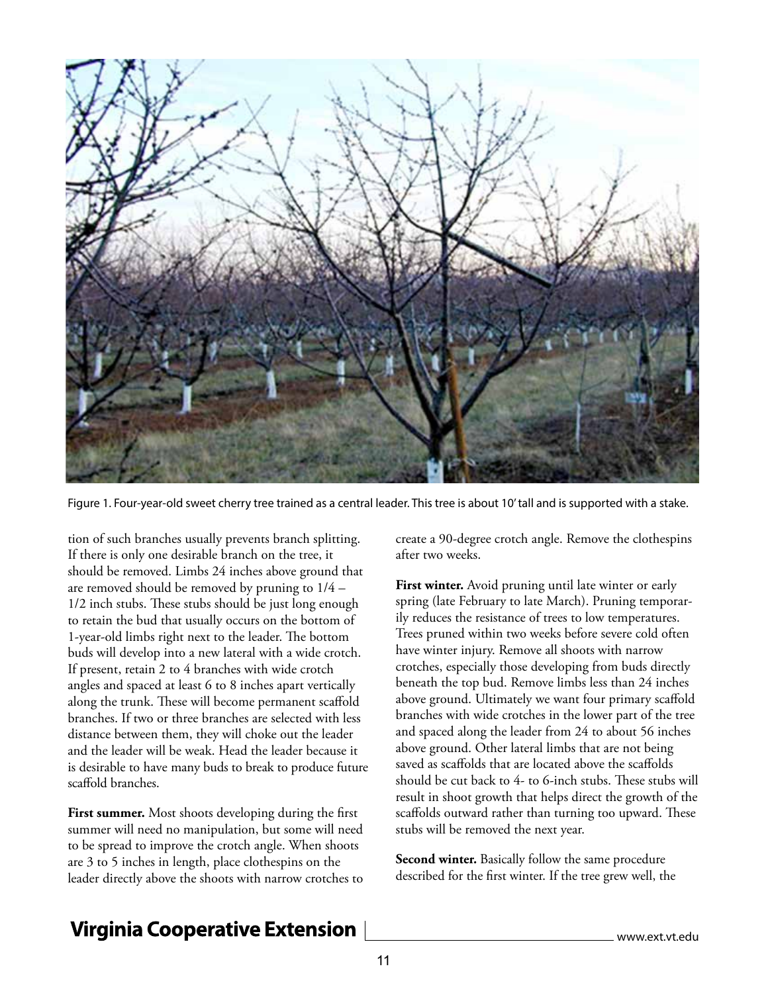

Figure 1. Four-year-old sweet cherry tree trained as a central leader. This tree is about 10' tall and is supported with a stake.

tion of such branches usually prevents branch splitting. If there is only one desirable branch on the tree, it should be removed. Limbs 24 inches above ground that are removed should be removed by pruning to 1/4 – 1/2 inch stubs. These stubs should be just long enough to retain the bud that usually occurs on the bottom of 1-year-old limbs right next to the leader. The bottom buds will develop into a new lateral with a wide crotch. If present, retain 2 to 4 branches with wide crotch angles and spaced at least 6 to 8 inches apart vertically along the trunk. These will become permanent scaffold branches. If two or three branches are selected with less distance between them, they will choke out the leader and the leader will be weak. Head the leader because it is desirable to have many buds to break to produce future scaffold branches.

**First summer.** Most shoots developing during the first summer will need no manipulation, but some will need to be spread to improve the crotch angle. When shoots are 3 to 5 inches in length, place clothespins on the leader directly above the shoots with narrow crotches to create a 90-degree crotch angle. Remove the clothespins after two weeks.

**First winter.** Avoid pruning until late winter or early spring (late February to late March). Pruning temporarily reduces the resistance of trees to low temperatures. Trees pruned within two weeks before severe cold often have winter injury. Remove all shoots with narrow crotches, especially those developing from buds directly beneath the top bud. Remove limbs less than 24 inches above ground. Ultimately we want four primary scaffold branches with wide crotches in the lower part of the tree and spaced along the leader from 24 to about 56 inches above ground. Other lateral limbs that are not being saved as scaffolds that are located above the scaffolds should be cut back to 4- to 6-inch stubs. These stubs will result in shoot growth that helps direct the growth of the scaffolds outward rather than turning too upward. These stubs will be removed the next year.

**Second winter.** Basically follow the same procedure described for the first winter. If the tree grew well, the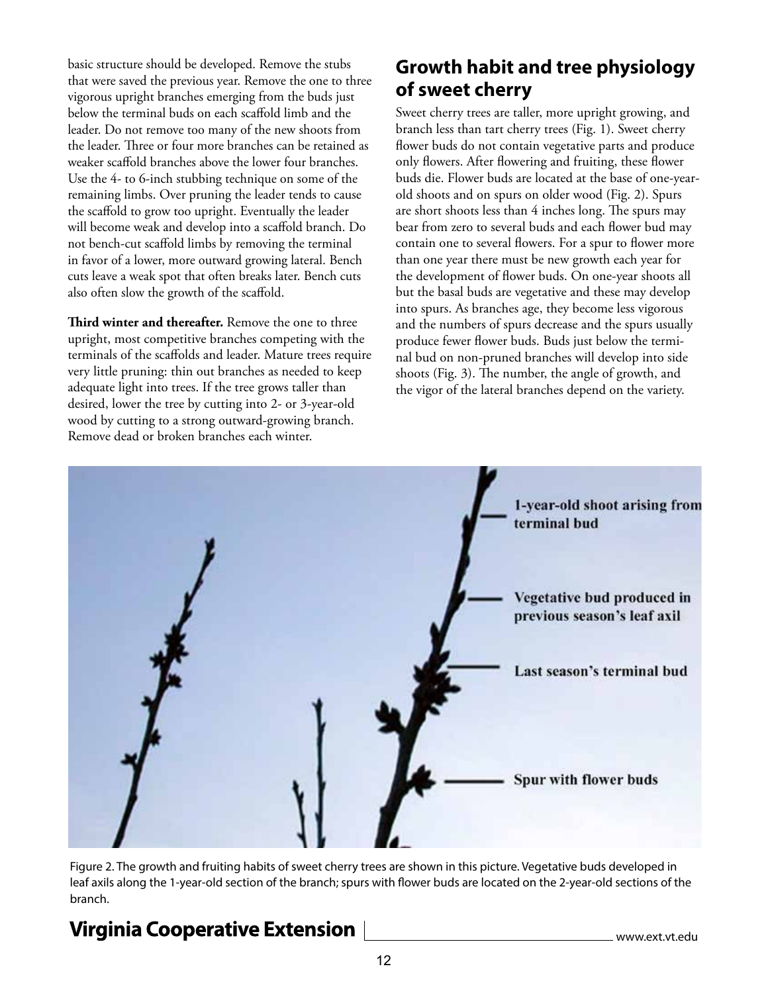basic structure should be developed. Remove the stubs that were saved the previous year. Remove the one to three vigorous upright branches emerging from the buds just below the terminal buds on each scaffold limb and the leader. Do not remove too many of the new shoots from the leader. Three or four more branches can be retained as weaker scaffold branches above the lower four branches. Use the 4- to 6-inch stubbing technique on some of the remaining limbs. Over pruning the leader tends to cause the scaffold to grow too upright. Eventually the leader will become weak and develop into a scaffold branch. Do not bench-cut scaffold limbs by removing the terminal in favor of a lower, more outward growing lateral. Bench cuts leave a weak spot that often breaks later. Bench cuts also often slow the growth of the scaffold.

**Third winter and thereafter.** Remove the one to three upright, most competitive branches competing with the terminals of the scaffolds and leader. Mature trees require very little pruning: thin out branches as needed to keep adequate light into trees. If the tree grows taller than desired, lower the tree by cutting into 2- or 3-year-old wood by cutting to a strong outward-growing branch. Remove dead or broken branches each winter.

## **Growth habit and tree physiology of sweet cherry**

Sweet cherry trees are taller, more upright growing, and branch less than tart cherry trees (Fig. 1). Sweet cherry flower buds do not contain vegetative parts and produce only flowers. After flowering and fruiting, these flower buds die. Flower buds are located at the base of one-yearold shoots and on spurs on older wood (Fig. 2). Spurs are short shoots less than 4 inches long. The spurs may bear from zero to several buds and each flower bud may contain one to several flowers. For a spur to flower more than one year there must be new growth each year for the development of flower buds. On one-year shoots all but the basal buds are vegetative and these may develop into spurs. As branches age, they become less vigorous and the numbers of spurs decrease and the spurs usually produce fewer flower buds. Buds just below the terminal bud on non-pruned branches will develop into side shoots (Fig. 3). The number, the angle of growth, and the vigor of the lateral branches depend on the variety.



Figure 2. The growth and fruiting habits of sweet cherry trees are shown in this picture. Vegetative buds developed in leaf axils along the 1-year-old section of the branch; spurs with flower buds are located on the 2-year-old sections of the branch.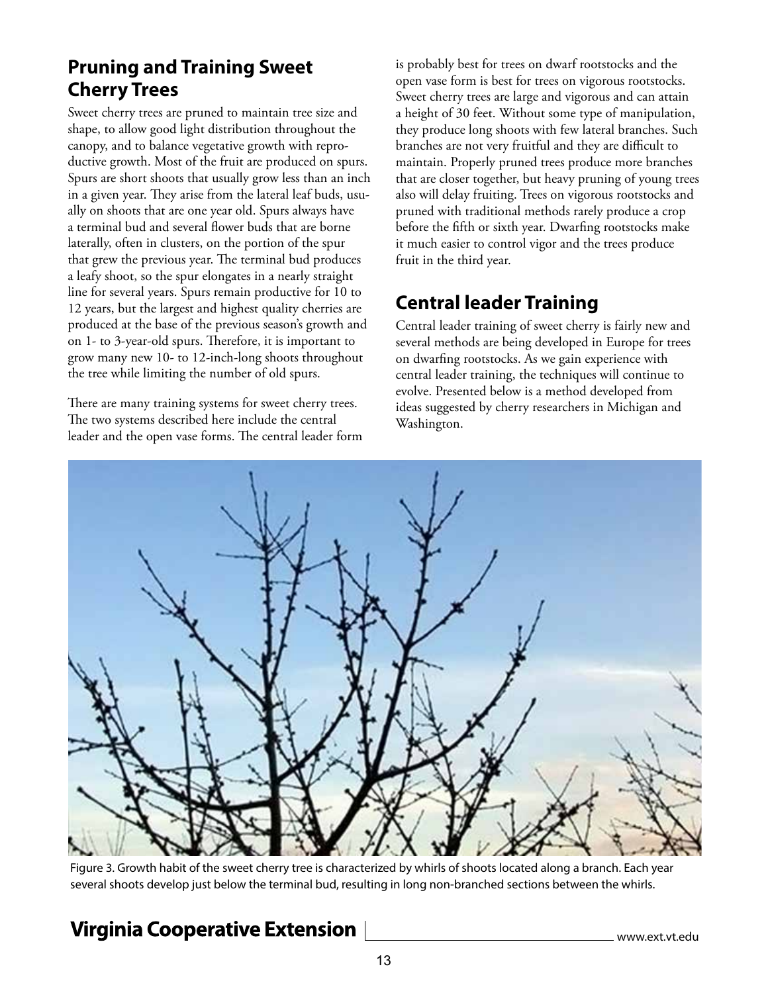#### **Pruning and Training Sweet Cherry Trees**

Sweet cherry trees are pruned to maintain tree size and shape, to allow good light distribution throughout the canopy, and to balance vegetative growth with reproductive growth. Most of the fruit are produced on spurs. Spurs are short shoots that usually grow less than an inch in a given year. They arise from the lateral leaf buds, usually on shoots that are one year old. Spurs always have a terminal bud and several flower buds that are borne laterally, often in clusters, on the portion of the spur that grew the previous year. The terminal bud produces a leafy shoot, so the spur elongates in a nearly straight line for several years. Spurs remain productive for 10 to 12 years, but the largest and highest quality cherries are produced at the base of the previous season's growth and on 1- to 3-year-old spurs. Therefore, it is important to grow many new 10- to 12-inch-long shoots throughout the tree while limiting the number of old spurs.

There are many training systems for sweet cherry trees. The two systems described here include the central leader and the open vase forms. The central leader form is probably best for trees on dwarf rootstocks and the open vase form is best for trees on vigorous rootstocks. Sweet cherry trees are large and vigorous and can attain a height of 30 feet. Without some type of manipulation, they produce long shoots with few lateral branches. Such branches are not very fruitful and they are difficult to maintain. Properly pruned trees produce more branches that are closer together, but heavy pruning of young trees also will delay fruiting. Trees on vigorous rootstocks and pruned with traditional methods rarely produce a crop before the fifth or sixth year. Dwarfing rootstocks make it much easier to control vigor and the trees produce fruit in the third year.

## **Central leader Training**

Central leader training of sweet cherry is fairly new and several methods are being developed in Europe for trees on dwarfing rootstocks. As we gain experience with central leader training, the techniques will continue to evolve. Presented below is a method developed from ideas suggested by cherry researchers in Michigan and Washington.



Figure 3. Growth habit of the sweet cherry tree is characterized by whirls of shoots located along a branch. Each year several shoots develop just below the terminal bud, resulting in long non-branched sections between the whirls.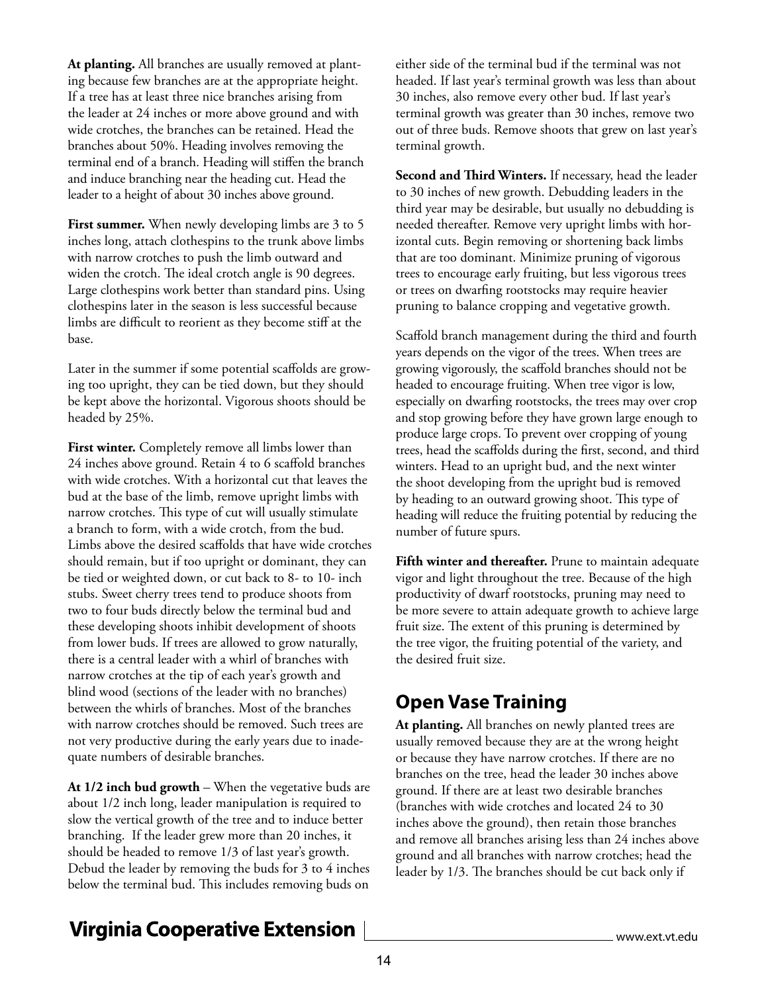**At planting.** All branches are usually removed at planting because few branches are at the appropriate height. If a tree has at least three nice branches arising from the leader at 24 inches or more above ground and with wide crotches, the branches can be retained. Head the branches about 50%. Heading involves removing the terminal end of a branch. Heading will stiffen the branch and induce branching near the heading cut. Head the leader to a height of about 30 inches above ground.

**First summer.** When newly developing limbs are 3 to 5 inches long, attach clothespins to the trunk above limbs with narrow crotches to push the limb outward and widen the crotch. The ideal crotch angle is 90 degrees. Large clothespins work better than standard pins. Using clothespins later in the season is less successful because limbs are difficult to reorient as they become stiff at the base.

Later in the summer if some potential scaffolds are growing too upright, they can be tied down, but they should be kept above the horizontal. Vigorous shoots should be headed by 25%.

**First winter.** Completely remove all limbs lower than 24 inches above ground. Retain 4 to 6 scaffold branches with wide crotches. With a horizontal cut that leaves the bud at the base of the limb, remove upright limbs with narrow crotches. This type of cut will usually stimulate a branch to form, with a wide crotch, from the bud. Limbs above the desired scaffolds that have wide crotches should remain, but if too upright or dominant, they can be tied or weighted down, or cut back to 8- to 10- inch stubs. Sweet cherry trees tend to produce shoots from two to four buds directly below the terminal bud and these developing shoots inhibit development of shoots from lower buds. If trees are allowed to grow naturally, there is a central leader with a whirl of branches with narrow crotches at the tip of each year's growth and blind wood (sections of the leader with no branches) between the whirls of branches. Most of the branches with narrow crotches should be removed. Such trees are not very productive during the early years due to inadequate numbers of desirable branches.

**At 1/2 inch bud growth** – When the vegetative buds are about 1/2 inch long, leader manipulation is required to slow the vertical growth of the tree and to induce better branching. If the leader grew more than 20 inches, it should be headed to remove 1/3 of last year's growth. Debud the leader by removing the buds for 3 to 4 inches below the terminal bud. This includes removing buds on

either side of the terminal bud if the terminal was not headed. If last year's terminal growth was less than about 30 inches, also remove every other bud. If last year's terminal growth was greater than 30 inches, remove two out of three buds. Remove shoots that grew on last year's terminal growth.

**Second and Third Winters.** If necessary, head the leader to 30 inches of new growth. Debudding leaders in the third year may be desirable, but usually no debudding is needed thereafter. Remove very upright limbs with horizontal cuts. Begin removing or shortening back limbs that are too dominant. Minimize pruning of vigorous trees to encourage early fruiting, but less vigorous trees or trees on dwarfing rootstocks may require heavier pruning to balance cropping and vegetative growth.

Scaffold branch management during the third and fourth years depends on the vigor of the trees. When trees are growing vigorously, the scaffold branches should not be headed to encourage fruiting. When tree vigor is low, especially on dwarfing rootstocks, the trees may over crop and stop growing before they have grown large enough to produce large crops. To prevent over cropping of young trees, head the scaffolds during the first, second, and third winters. Head to an upright bud, and the next winter the shoot developing from the upright bud is removed by heading to an outward growing shoot. This type of heading will reduce the fruiting potential by reducing the number of future spurs.

**Fifth winter and thereafter.** Prune to maintain adequate vigor and light throughout the tree. Because of the high productivity of dwarf rootstocks, pruning may need to be more severe to attain adequate growth to achieve large fruit size. The extent of this pruning is determined by the tree vigor, the fruiting potential of the variety, and the desired fruit size.

## **Open Vase Training**

**At planting.** All branches on newly planted trees are usually removed because they are at the wrong height or because they have narrow crotches. If there are no branches on the tree, head the leader 30 inches above ground. If there are at least two desirable branches (branches with wide crotches and located 24 to 30 inches above the ground), then retain those branches and remove all branches arising less than 24 inches above ground and all branches with narrow crotches; head the leader by 1/3. The branches should be cut back only if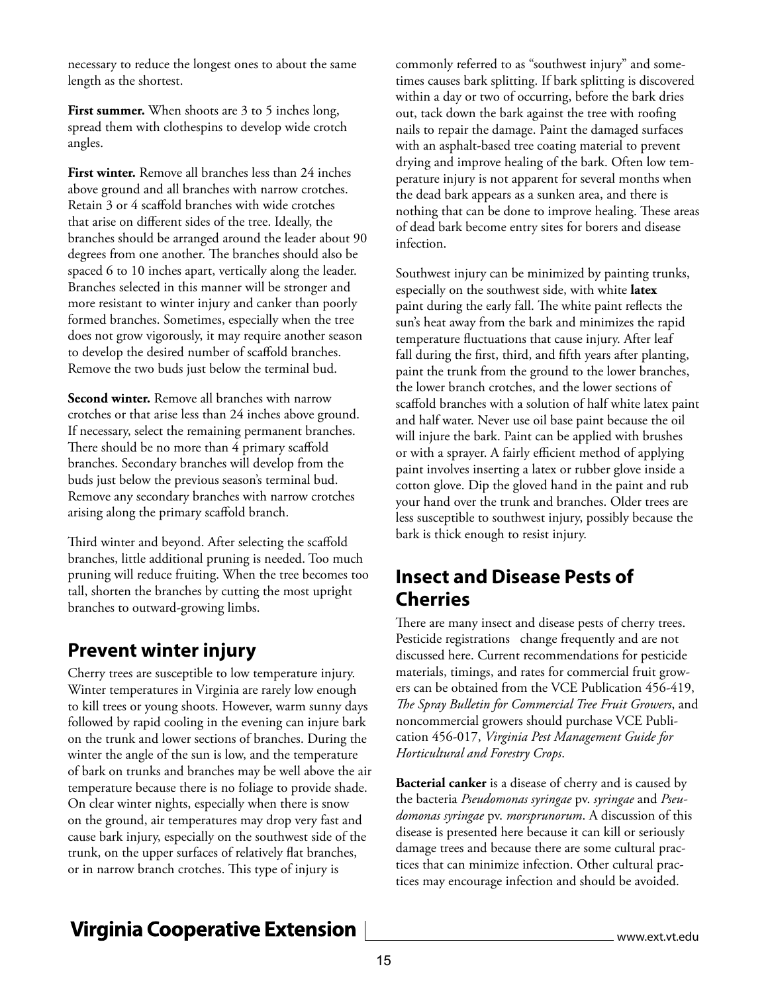necessary to reduce the longest ones to about the same length as the shortest.

First summer. When shoots are 3 to 5 inches long, spread them with clothespins to develop wide crotch angles.

**First winter.** Remove all branches less than 24 inches above ground and all branches with narrow crotches. Retain 3 or 4 scaffold branches with wide crotches that arise on different sides of the tree. Ideally, the branches should be arranged around the leader about 90 degrees from one another. The branches should also be spaced 6 to 10 inches apart, vertically along the leader. Branches selected in this manner will be stronger and more resistant to winter injury and canker than poorly formed branches. Sometimes, especially when the tree does not grow vigorously, it may require another season to develop the desired number of scaffold branches. Remove the two buds just below the terminal bud.

**Second winter.** Remove all branches with narrow crotches or that arise less than 24 inches above ground. If necessary, select the remaining permanent branches. There should be no more than 4 primary scaffold branches. Secondary branches will develop from the buds just below the previous season's terminal bud. Remove any secondary branches with narrow crotches arising along the primary scaffold branch.

Third winter and beyond. After selecting the scaffold branches, little additional pruning is needed. Too much pruning will reduce fruiting. When the tree becomes too tall, shorten the branches by cutting the most upright branches to outward-growing limbs.

#### **Prevent winter injury**

Cherry trees are susceptible to low temperature injury. Winter temperatures in Virginia are rarely low enough to kill trees or young shoots. However, warm sunny days followed by rapid cooling in the evening can injure bark on the trunk and lower sections of branches. During the winter the angle of the sun is low, and the temperature of bark on trunks and branches may be well above the air temperature because there is no foliage to provide shade. On clear winter nights, especially when there is snow on the ground, air temperatures may drop very fast and cause bark injury, especially on the southwest side of the trunk, on the upper surfaces of relatively flat branches, or in narrow branch crotches. This type of injury is

commonly referred to as "southwest injury" and sometimes causes bark splitting. If bark splitting is discovered within a day or two of occurring, before the bark dries out, tack down the bark against the tree with roofing nails to repair the damage. Paint the damaged surfaces with an asphalt-based tree coating material to prevent drying and improve healing of the bark. Often low temperature injury is not apparent for several months when the dead bark appears as a sunken area, and there is nothing that can be done to improve healing. These areas of dead bark become entry sites for borers and disease infection.

Southwest injury can be minimized by painting trunks, especially on the southwest side, with white **latex** paint during the early fall. The white paint reflects the sun's heat away from the bark and minimizes the rapid temperature fluctuations that cause injury. After leaf fall during the first, third, and fifth years after planting, paint the trunk from the ground to the lower branches, the lower branch crotches, and the lower sections of scaffold branches with a solution of half white latex paint and half water. Never use oil base paint because the oil will injure the bark. Paint can be applied with brushes or with a sprayer. A fairly efficient method of applying paint involves inserting a latex or rubber glove inside a cotton glove. Dip the gloved hand in the paint and rub your hand over the trunk and branches. Older trees are less susceptible to southwest injury, possibly because the bark is thick enough to resist injury.

#### **Insect and Disease Pests of Cherries**

There are many insect and disease pests of cherry trees. Pesticide registrations change frequently and are not discussed here. Current recommendations for pesticide materials, timings, and rates for commercial fruit growers can be obtained from the VCE Publication 456-419, *The Spray Bulletin for Commercial Tree Fruit Growers*, and noncommercial growers should purchase VCE Publication 456-017, *Virginia Pest Management Guide for Horticultural and Forestry Crops*.

**Bacterial canker** is a disease of cherry and is caused by the bacteria *Pseudomonas syringae* pv. *syringae* and *Pseudomonas syringae* pv. *morsprunorum*. A discussion of this disease is presented here because it can kill or seriously damage trees and because there are some cultural practices that can minimize infection. Other cultural practices may encourage infection and should be avoided.